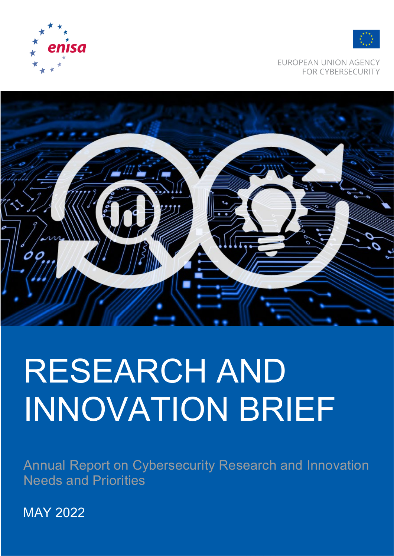



EUROPEAN UNION AGENCY FOR CYBERSECURITY



# RESEARCH AND INNOVATION BRIEF

Annual Report on Cybersecurity Research and Innovation Needs and Priorities

MAY 2022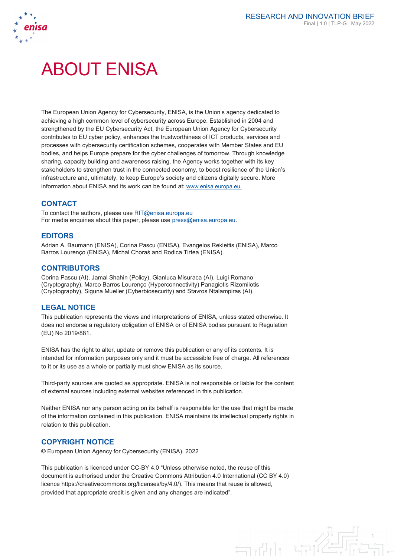

# ABOUT ENISA

The European Union Agency for Cybersecurity, ENISA, is the Union's agency dedicated to achieving a high common level of cybersecurity across Europe. Established in 2004 and strengthened by the EU Cybersecurity Act, the European Union Agency for Cybersecurity contributes to EU cyber policy, enhances the trustworthiness of ICT products, services and processes with cybersecurity certification schemes, cooperates with Member States and EU bodies, and helps Europe prepare for the cyber challenges of tomorrow. Through knowledge sharing, capacity building and awareness raising, the Agency works together with its key stakeholders to strengthen trust in the connected economy, to boost resilience of the Union's infrastructure and, ultimately, to keep Europe's society and citizens digitally secure. More information about ENISA and its work can be found at[: www.enisa.europa.eu.](http://www.enisa.europa.eu/)

# **CONTACT**

To contact the authors, please use [RIT@enisa.europa.eu](mailto:RIT@enisa.europa.eu) For media enquiries about this paper, please use  $pres@enisa.europa.eu$ .

## **EDITORS**

Adrian A. Baumann (ENISA), Corina Pascu (ENISA), Evangelos Rekleitis (ENISA), Marco Barros Lourenço (ENISA), Michal Choraś and Rodica Tirtea (ENISA).

## **CONTRIBUTORS**

Corina Pascu (AI), Jamal Shahin (Policy), Gianluca Misuraca (AI), Luigi Romano (Cryptography), Marco Barros Lourenço (Hyperconnectivity) Panagiotis Rizomilotis (Cryptography), Siguna Mueller (Cyberbiosecurity) and Stavros Ntalampiras (AI).

## **LEGAL NOTICE**

This publication represents the views and interpretations of ENISA, unless stated otherwise. It does not endorse a regulatory obligation of ENISA or of ENISA bodies pursuant to Regulation (EU) No 2019/881.

ENISA has the right to alter, update or remove this publication or any of its contents. It is intended for information purposes only and it must be accessible free of charge. All references to it or its use as a whole or partially must show ENISA as its source.

Third-party sources are quoted as appropriate. ENISA is not responsible or liable for the content of external sources including external websites referenced in this publication.

Neither ENISA nor any person acting on its behalf is responsible for the use that might be made of the information contained in this publication. ENISA maintains its intellectual property rights in relation to this publication.

## **COPYRIGHT NOTICE**

© European Union Agency for Cybersecurity (ENISA), 2022

This publication is licenced under CC-BY 4.0 "Unless otherwise noted, the reuse of this document is authorised under the Creative Commons Attribution 4.0 International (CC BY 4.0) licence https://creativecommons.org/licenses/by/4.0/). This means that reuse is allowed, provided that appropriate credit is given and any changes are indicated".

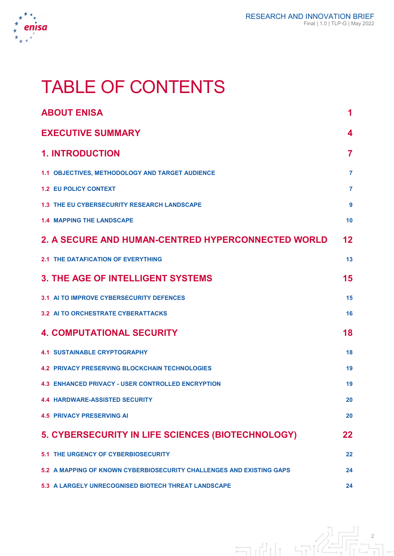

# TABLE OF CONTENTS

| <b>ABOUT ENISA</b>                                                   | 1                |
|----------------------------------------------------------------------|------------------|
| <b>EXECUTIVE SUMMARY</b>                                             | 4                |
| <b>1. INTRODUCTION</b>                                               | $\overline{7}$   |
| 1.1 OBJECTIVES, METHODOLOGY AND TARGET AUDIENCE                      | $\overline{7}$   |
| <b>1.2 EU POLICY CONTEXT</b>                                         | $\overline{7}$   |
| <b>1.3 THE EU CYBERSECURITY RESEARCH LANDSCAPE</b>                   | $\boldsymbol{9}$ |
| <b>1.4 MAPPING THE LANDSCAPE</b>                                     | 10               |
| 2. A SECURE AND HUMAN-CENTRED HYPERCONNECTED WORLD                   | $12 \,$          |
| <b>2.1 THE DATAFICATION OF EVERYTHING</b>                            | 13               |
| <b>3. THE AGE OF INTELLIGENT SYSTEMS</b>                             | 15               |
| 3.1 AI TO IMPROVE CYBERSECURITY DEFENCES                             | 15               |
| <b>3.2 AI TO ORCHESTRATE CYBERATTACKS</b>                            | 16               |
| <b>4. COMPUTATIONAL SECURITY</b>                                     | 18               |
| <b>4.1 SUSTAINABLE CRYPTOGRAPHY</b>                                  | 18               |
| <b>4.2 PRIVACY PRESERVING BLOCKCHAIN TECHNOLOGIES</b>                | 19               |
| <b>4.3 ENHANCED PRIVACY - USER CONTROLLED ENCRYPTION</b>             | 19               |
| <b>4.4 HARDWARE-ASSISTED SECURITY</b>                                | 20               |
| <b>4.5 PRIVACY PRESERVING AI</b>                                     | 20               |
| 5. CYBERSECURITY IN LIFE SCIENCES (BIOTECHNOLOGY)                    | 22               |
| <b>5.1 THE URGENCY OF CYBERBIOSECURITY</b>                           | 22               |
| 5.2 A MAPPING OF KNOWN CYBERBIOSECURITY CHALLENGES AND EXISTING GAPS | 24               |
| <b>5.3 A LARGELY UNRECOGNISED BIOTECH THREAT LANDSCAPE</b>           | 24               |

 $\frac{2}{10}$  $\exists$ ili til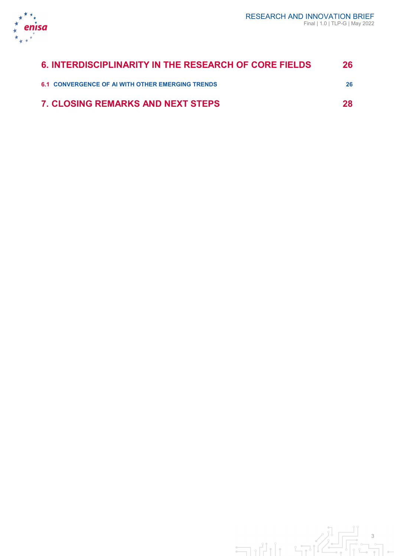

| 6. INTERDISCIPLINARITY IN THE RESEARCH OF CORE FIELDS   | 26  |
|---------------------------------------------------------|-----|
| <b>6.1 CONVERGENCE OF AI WITH OTHER EMERGING TRENDS</b> | 26. |
| <b>7. CLOSING REMARKS AND NEXT STEPS</b>                | 28  |

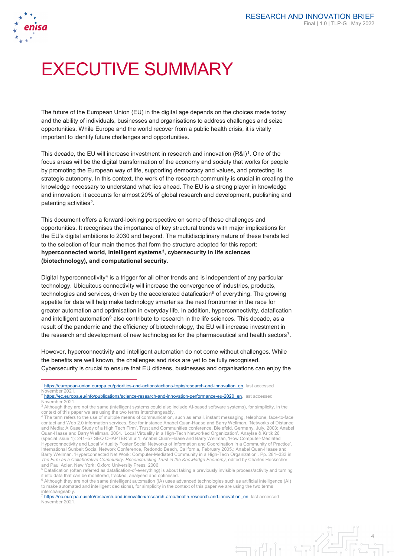

 $\overline{a}$ 

# EXECUTIVE SUMMARY

The future of the European Union (EU) in the digital age depends on the choices made today and the ability of individuals, businesses and organisations to address challenges and seize opportunities. While Europe and the world recover from a public health crisis, it is vitally important to identify future challenges and opportunities.

This decade, the EU will increase investment in research and innovation  $(R&I)^1$  $(R&I)^1$ . One of the focus areas will be the digital transformation of the economy and society that works for people by promoting the European way of life, supporting democracy and values, and protecting its strategic autonomy. In this context, the work of the research community is crucial in creating the knowledge necessary to understand what lies ahead. The EU is a strong player in knowledge and innovation: it accounts for almost 20% of global research and development, publishing and patenting activities $2$ .

This document offers a forward-looking perspective on some of these challenges and opportunities. It recognises the importance of key structural trends with major implications for the EU's digital ambitions to 2030 and beyond. The multidisciplinary nature of these trends led to the selection of four main themes that form the structure adopted for this report: **hyperconnected world, intelligent systems[3](#page-4-2), cybersecurity in life sciences (biotechnology), and computational security**.

Digital hyperconnectivity<sup>[4](#page-4-3)</sup> is a trigger for all other trends and is independent of any particular technology. Ubiquitous connectivity will increase the convergence of industries, products, technologies and services, driven by the accelerated datafication<sup>[5](#page-4-4)</sup> of everything. The growing appetite for data will help make technology smarter as the next frontrunner in the race for greater automation and optimisation in everyday life. In addition, hyperconnectivity, datafication and intelligent automation $6$  also contribute to research in the life sciences. This decade, as a result of the pandemic and the efficiency of biotechnology, the EU will increase investment in the research and development of new technologies for the pharmaceutical and health sectors<sup>[7](#page-4-6)</sup>.

However, hyperconnectivity and intelligent automation do not come without challenges. While the benefits are well known, the challenges and risks are yet to be fully recognised. Cybersecurity is crucial to ensure that EU citizens, businesses and organisations can enjoy the

<span id="page-4-6"></span><sup>&</sup>lt;sup>1</sup> [https://ec.europa.eu/info/research-and-innovation/research-area/health-research-and-innovation\\_en,](https://ec.europa.eu/info/research-and-innovation/research-area/health-research-and-innovation_en) last accessed November 2021



<span id="page-4-0"></span>[https://european-union.europa.eu/priorities-and-actions/actions-topic/research-and-innovation\\_en,](https://european-union.europa.eu/priorities-and-actions/actions-topic/research-and-innovation_en) last accessed November 202

<span id="page-4-1"></span><sup>&</sup>lt;sup>2</sup> [https://ec.europa.eu/info/publications/science-research-and-innovation-performance-eu-2020\\_en,](https://ec.europa.eu/info/publications/science-research-and-innovation-performance-eu-2020_en) last accessed<br>November 2021.

<span id="page-4-2"></span><sup>&</sup>lt;sup>3</sup> Although they are not the same (intelligent systems could also include AI-based software systems), for simplicity, in the context of this paper we are using the two terms interchangeably.

<span id="page-4-3"></span><sup>4</sup> The term refers to the use of multiple means of communication, such as email, instant messaging, telephone, face-to-face contact and Web 2.0 information services. See for instance Anabel Quan-Haase and Barry Wellman, 'Networks of Distance and Media: A Case Study of a High Tech Firm'. Trust and Communities conference, Bielefeld, Germany, July, 2003; Anabel Quan-Haase and Barry Wellman. 2004. 'Local Virtuality in a High-Tech Networked Organization'. Anaylse & Kritik 26 (special issue 1): 241–57 SEQ CHAPTER \h \r 1; Anabel Quan-Haase and Barry Wellman, 'How Computer-Mediated Hyperconnectivity and Local Virtuality Foster Social Networks of Information and Coordination in a Community of Practice'. International Sunbelt Social Network Conference, Redondo Beach, California, February 2005.; Anabel Quan-Haase and<br>Barry Wellman. 'Hyperconnected Net Work: Computer-Mediated Community in a High-Tech Organization'. Pp. 281–3 *The Firm as a Collaborative Community: Reconstructing Trust in the Knowledge Economy*, edited by Charles Heckscher and Paul Adler. New York: Oxford University Press, 2006

<span id="page-4-4"></span><sup>&</sup>lt;sup>5</sup> Datafication (often referred as datafication-of-everything) is about taking a previously invisible process/activity and turning it into data that can be monitored, tracked, analysed and optimised.

<span id="page-4-5"></span> $6$  Although they are not the same (intelligent automation (IA) uses advanced technologies such as artificial intelligence (AI) to make automated and intelligent decisions), for simplicity in the context of this paper we are using the two terms interchangeably.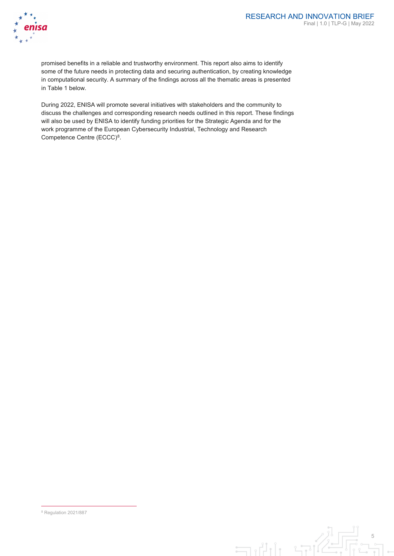

promised benefits in a reliable and trustworthy environment. This report also aims to identify some of the future needs in protecting data and securing authentication, by creating knowledge in computational security. A summary of the findings across all the thematic areas is presented in Table 1 below.

During 2022, ENISA will promote several initiatives with stakeholders and the community to discuss the challenges and corresponding research needs outlined in this report. These findings will also be used by ENISA to identify funding priorities for the Strategic Agenda and for the work programme of the European Cybersecurity Industrial, Technology and Research Competence Centre (ECCC)<sup>8</sup>.



<span id="page-5-0"></span>8 Regulation 2021/887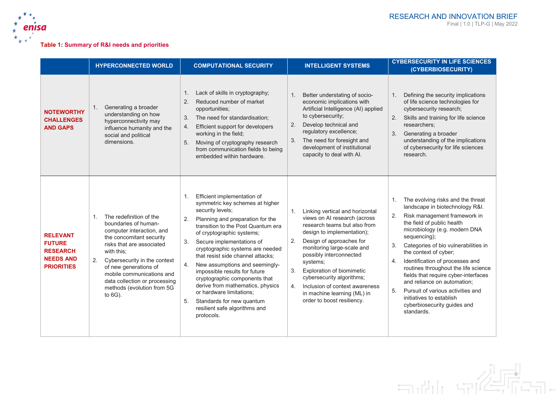

# **Table 1: Summary of R&I needs and priorities**

|                                                                                              | <b>HYPERCONNECTED WORLD</b>                                                                                                                                                                                                                                                                                                                    | <b>COMPUTATIONAL SECURITY</b>                                                                                                                                                                                                                                                                                                                                                                                                                                                                                                                                                 | <b>INTELLIGENT SYSTEMS</b>                                                                                                                                                                                                                                                                                                                                                                                                              | <b>CYBERSECURITY IN LIFE SCIENCES</b><br>(CYBERBIOSECURITY)                                                                                                                                                                                                                                                                                                                                                                                                                                                                                                    |
|----------------------------------------------------------------------------------------------|------------------------------------------------------------------------------------------------------------------------------------------------------------------------------------------------------------------------------------------------------------------------------------------------------------------------------------------------|-------------------------------------------------------------------------------------------------------------------------------------------------------------------------------------------------------------------------------------------------------------------------------------------------------------------------------------------------------------------------------------------------------------------------------------------------------------------------------------------------------------------------------------------------------------------------------|-----------------------------------------------------------------------------------------------------------------------------------------------------------------------------------------------------------------------------------------------------------------------------------------------------------------------------------------------------------------------------------------------------------------------------------------|----------------------------------------------------------------------------------------------------------------------------------------------------------------------------------------------------------------------------------------------------------------------------------------------------------------------------------------------------------------------------------------------------------------------------------------------------------------------------------------------------------------------------------------------------------------|
| <b>NOTEWORTHY</b><br><b>CHALLENGES</b><br><b>AND GAPS</b>                                    | Generating a broader<br>1.<br>understanding on how<br>hyperconnectivity may<br>influence humanity and the<br>social and political<br>dimensions.                                                                                                                                                                                               | Lack of skills in cryptography;<br>1.<br>2.<br>Reduced number of market<br>opportunities;<br>The need for standardisation;<br>3.<br>Efficient support for developers<br>4.<br>working in the field;<br>Moving of cryptography research<br>5.<br>from communication fields to being<br>embedded within hardware.                                                                                                                                                                                                                                                               | Better understating of socio-<br>1.<br>economic implications with<br>Artificial Intelligence (AI) applied<br>to cybersecurity;<br>Develop technical and<br>2.<br>regulatory excellence;<br>The need for foresight and<br>3.<br>development of institutional<br>capacity to deal with Al.                                                                                                                                                | Defining the security implications<br>1.<br>of life science technologies for<br>cybersecurity research;<br>Skills and training for life science<br>2.<br>researchers:<br>3.<br>Generating a broader<br>understanding of the implications<br>of cybersecurity for life sciences<br>research.                                                                                                                                                                                                                                                                    |
| <b>RELEVANT</b><br><b>FUTURE</b><br><b>RESEARCH</b><br><b>NEEDS AND</b><br><b>PRIORITIES</b> | The redefinition of the<br>$\mathbf{1}$ .<br>boundaries of human-<br>computer interaction, and<br>the concomitant security<br>risks that are associated<br>with this:<br>Cybersecurity in the context<br>2.<br>of new generations of<br>mobile communications and<br>data collection or processing<br>methods (evolution from 5G<br>to $6G$ ). | Efficient implementation of<br>1.<br>symmetric key schemes at higher<br>security levels;<br>2.<br>Planning and preparation for the<br>transition to the Post Quantum era<br>of cryptographic systems;<br>Secure implementations of<br>3.<br>cryptographic systems are needed<br>that resist side channel attacks:<br>New assumptions and seemingly-<br>4.<br>impossible results for future<br>cryptographic components that<br>derive from mathematics, physics<br>or hardware limitations:<br>5.<br>Standards for new quantum<br>resilient safe algorithms and<br>protocols. | Linking vertical and horizontal<br>$\mathbf{1}$ .<br>views on AI research (across<br>research teams but also from<br>design to implementation);<br>2.<br>Design of approaches for<br>monitoring large-scale and<br>possibly interconnected<br>systems;<br>Exploration of biomimetic<br>3.<br>cybersecurity algorithms;<br>Inclusion of context awareness<br>4 <sup>1</sup><br>in machine learning (ML) in<br>order to boost resiliency. | The evolving risks and the threat<br>$\mathbf{1}$ .<br>landscape in biotechnology R&I.<br>Risk management framework in<br>2.<br>the field of public health<br>microbiology (e.g. modern DNA<br>sequencing);<br>Categories of bio vulnerabilities in<br>3.<br>the context of cyber;<br>Identification of processes and<br>4.<br>routines throughout the life science<br>fields that require cyber-interfaces<br>and reliance on automation;<br>Pursuit of various activities and<br>5.<br>initiatives to establish<br>cyberbiosecurity guides and<br>standards. |

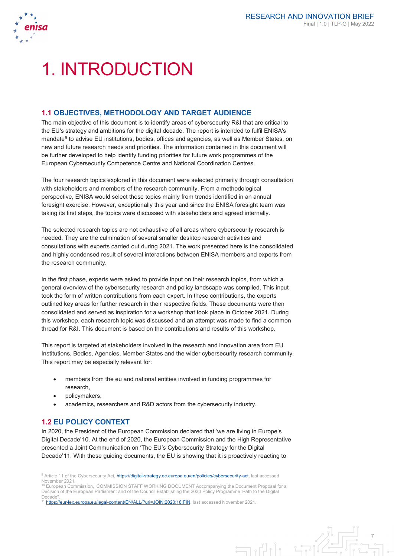

# 1. INTRODUCTION

# **1.1 OBJECTIVES, METHODOLOGY AND TARGET AUDIENCE**

The main objective of this document is to identify areas of cybersecurity R&I that are critical to the EU's strategy and ambitions for the digital decade. The report is intended to fulfil ENISA's mandate<sup>[9](#page-7-0)</sup> to advise EU institutions, bodies, offices and agencies, as well as Member States, on new and future research needs and priorities. The information contained in this document will be further developed to help identify funding priorities for future work programmes of the European Cybersecurity Competence Centre and National Coordination Centres.

The four research topics explored in this document were selected primarily through consultation with stakeholders and members of the research community. From a methodological perspective, ENISA would select these topics mainly from trends identified in an annual foresight exercise. However, exceptionally this year and since the ENISA foresight team was taking its first steps, the topics were discussed with stakeholders and agreed internally.

The selected research topics are not exhaustive of all areas where cybersecurity research is needed. They are the culmination of several smaller desktop research activities and consultations with experts carried out during 2021. The work presented here is the consolidated and highly condensed result of several interactions between ENISA members and experts from the research community.

In the first phase, experts were asked to provide input on their research topics, from which a general overview of the cybersecurity research and policy landscape was compiled. This input took the form of written contributions from each expert. In these contributions, the experts outlined key areas for further research in their respective fields. These documents were then consolidated and served as inspiration for a workshop that took place in October 2021. During this workshop, each research topic was discussed and an attempt was made to find a common thread for R&I. This document is based on the contributions and results of this workshop.

This report is targeted at stakeholders involved in the research and innovation area from EU Institutions, Bodies, Agencies, Member States and the wider cybersecurity research community. This report may be especially relevant for:

- members from the eu and national entities involved in funding programmes for research,
- policymakers,

-

• academics, researchers and R&D actors from the cybersecurity industry.

# **1.2 EU POLICY CONTEXT**

In 2020, the President of the European Commission declared that 'we are living in Europe's Digital Decade'[10.](#page-7-1) At the end of 2020, the European Commission and the High Representative presented a Joint Communication on 'The EU's Cybersecurity Strategy for the Digital Decade'[11](#page-7-2). With these guiding documents, the EU is showing that it is proactively reacting to

<span id="page-7-2"></span><sup>11</sup>the://eur-lex.europa.eu/legal-content/EN/ALL/?uri=JOIN:2020:18:FIN, last accessed November 2021.



<span id="page-7-0"></span><sup>&</sup>lt;sup>9</sup> Article 11 of the Cybersecurity Act, **https://digital-strategy.ec.europa.eu/en/policies/cybersecurity-act**, last accessed November 2021.

<span id="page-7-1"></span><sup>&</sup>lt;sup>10</sup> European Commission, 'COMMISSION STAFF WORKING DOCUMENT Accompanying the Document Proposal for a<br>Decision of the European Parliament and of the Council Establishing the 2030 Policy Programme 'Path to the Digital Decade''.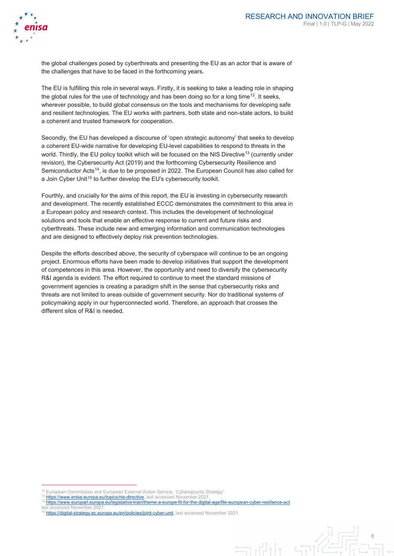

the global challenges posed by cyberthreats and presenting the EU as an actor that is aware of the challenges that have to be faced in the forthcoming years.

The EU is fulfilling this role in several ways. Firstly, it is seeking to take a leading role in shaping the global rules for the use of technology and has been doing so for a long time<sup>[12](#page-8-0)</sup>. It seeks, wherever possible, to build global consensus on the tools and mechanisms for developing safe and resilient technologies. The EU works with partners, both state and non-state actors, to build a coherent and trusted framework for cooperation.

Secondly, the EU has developed a discourse of 'open strategic autonomy' that seeks to develop a coherent EU-wide narrative for developing EU-level capabilities to respond to threats in the world. Thirdly, the EU policy toolkit which will be focused on the NIS Directive<sup>[13](#page-8-1)</sup> (currently under revision), the Cybersecurity Act (2019) and the forthcoming Cybersecurity Resilience and Semiconductor Acts<sup>14</sup>, is due to be proposed in 2022. The European Council has also called for a Join Cyber Unit<sup>[15](#page-8-3)</sup> to further develop the EU's cybersecurity toolkit.

Fourthly, and crucially for the aims of this report, the EU is investing in cybersecurity research and development. The recently established ECCC demonstrates the commitment to this area in a European policy and research context. This includes the development of technological solutions and tools that enable an effective response to current and future risks and cyberthreats. These include new and emerging information and communication technologies and are designed to effectively deploy risk prevention technologies.

Despite the efforts described above, the security of cyberspace will continue to be an ongoing project. Enormous efforts have been made to develop initiatives that support the development of competences in this area. However, the opportunity and need to diversify the cybersecurity R&I agenda is evident. The effort required to continue to meet the standard missions of government agencies is creating a paradigm shift in the sense that cybersecurity risks and threats are not limited to areas outside of government security. Nor do traditional systems of policymaking apply in our hyperconnected world. Therefore, an approach that crosses the different silos of R&I is needed.

 $\overline{\Box}$ 

last accessed November 202

-

European Commission and European External Action Service, 'Cybersecurity Strategy'

<span id="page-8-1"></span><span id="page-8-0"></span>[https://www.enisa.europa.eu/topics/nis-directive,](https://www.enisa.europa.eu/topics/nis-directive) last accessed November 2021

<span id="page-8-2"></span><sup>14</sup> [https://www.europarl.europa.eu/legislative-train/theme-a-europe-fit-for-the-digital-age/file-european-cyber-resilience-act,](https://www.europarl.europa.eu/legislative-train/theme-a-europe-fit-for-the-digital-age/file-european-cyber-resilience-act) 

<span id="page-8-3"></span><sup>&</sup>lt;sup>15</sup> [https://digital-strategy.ec.europa.eu/en/policies/joint-cyber-unit,](https://digital-strategy.ec.europa.eu/en/policies/joint-cyber-unit) last accessed November 2021.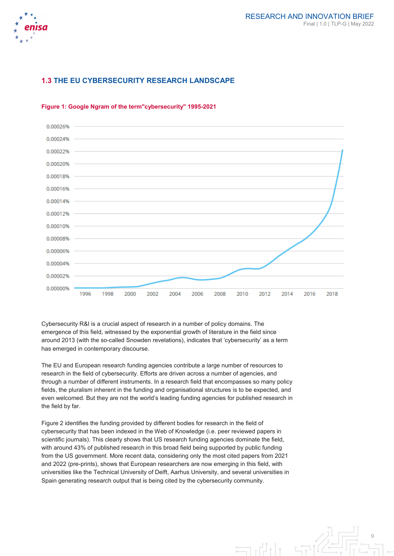

# **1.3 THE EU CYBERSECURITY RESEARCH LANDSCAPE**



#### **Figure 1: Google Ngram of the term"cybersecurity" 1995-2021**

Cybersecurity R&I is a crucial aspect of research in a number of policy domains. The emergence of this field, witnessed by the exponential growth of literature in the field since around 2013 (with the so-called Snowden revelations), indicates that 'cybersecurity' as a term has emerged in contemporary discourse.

The EU and European research funding agencies contribute a large number of resources to research in the field of cybersecurity. Efforts are driven across a number of agencies, and through a number of different instruments. In a research field that encompasses so many policy fields, the pluralism inherent in the funding and organisational structures is to be expected, and even welcomed. But they are not the world's leading funding agencies for published research in the field by far.

Figure 2 identifies the funding provided by different bodies for research in the field of cybersecurity that has been indexed in the Web of Knowledge (i.e. peer reviewed papers in scientific journals). This clearly shows that US research funding agencies dominate the field, with around 43% of published research in this broad field being supported by public funding from the US government. More recent data, considering only the most cited papers from 2021 and 2022 (pre-prints), shows that European researchers are now emerging in this field, with universities like the Technical University of Delft, Aarhus University, and several universities in Spain generating research output that is being cited by the cybersecurity community.

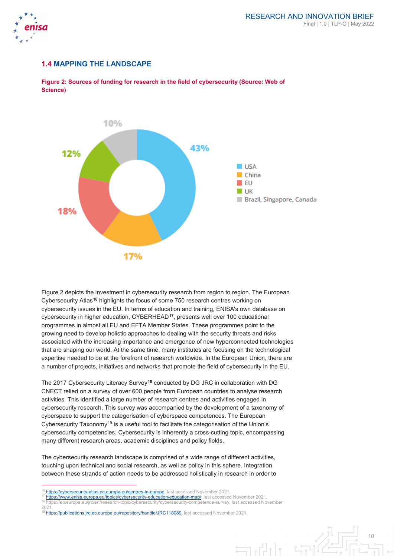

# **1.4 MAPPING THE LANDSCAPE**



**Figure 2: Sources of funding for research in the field of cybersecurity (Source: Web of Science)**

Figure 2 depicts the investment in cybersecurity research from region to region. The European Cybersecurity Atlas**[16](#page-10-0)** highlights the focus of some 750 research centres working on cybersecurity issues in the EU. In terms of education and training, ENISA's own database on cybersecurity in higher education, CYBERHEAD**[17](#page-10-1)**, presents well over 100 educational programmes in almost all EU and EFTA Member States. These programmes point to the growing need to develop holistic approaches to dealing with the security threats and risks associated with the increasing importance and emergence of new hyperconnected technologies that are shaping our world. At the same time, many institutes are focusing on the technological expertise needed to be at the forefront of research worldwide. In the European Union, there are a number of projects, initiatives and networks that promote the field of cybersecurity in the EU.

The 2017 Cybersecurity Literacy Survey**[18](#page-10-2)** conducted by DG JRC in collaboration with DG CNECT relied on a survey of over 600 people from European countries to analyse research activities. This identified a large number of research centres and activities engaged in cybersecurity research. This survey was accompanied by the development of a taxonomy of cyberspace to support the categorisation of cyberspace competences. The European Cybersecurity Taxonomy<sup>[19](#page-10-3)</sup> is a useful tool to facilitate the categorisation of the Union's cybersecurity competencies. Cybersecurity is inherently a cross-cutting topic, encompassing many different research areas, academic disciplines and policy fields.

The cybersecurity research landscape is comprised of a wide range of different activities, touching upon technical and social research, as well as policy in this sphere. Integration between these strands of action needs to be addressed holistically in research in order to

<span id="page-10-3"></span><span id="page-10-2"></span>

-

 $\frac{16 \text{ https://cybersecurity-atlas.ec.europa.eu/centres-in-europe}}{17 \text{ https://www.sriesc.virres.eu/benres/cylcertain/cylcation/calics}.}$ 

<span id="page-10-1"></span><span id="page-10-0"></span>[https://www.enisa.europa.eu/topics/cybersecurity-education/education-map/,](https://www.enisa.europa.eu/topics/cybersecurity-education/education-map/) last accessed November 2021.

<sup>18</sup> https://www.enisa.europa.europe.europe.co.europe.co.europe.co.europe.competence-survey, last accessed November<br>
18 https://ec.europa.eu/jrc/en/research-topic/cybersecurity/cybersecurity-competence-survey, last accessed

<sup>&</sup>lt;sup>19</sup> [https://publications.jrc.ec.europa.eu/repository/handle/JRC118089,](https://publications.jrc.ec.europa.eu/repository/handle/JRC118089) last accessed November 2021.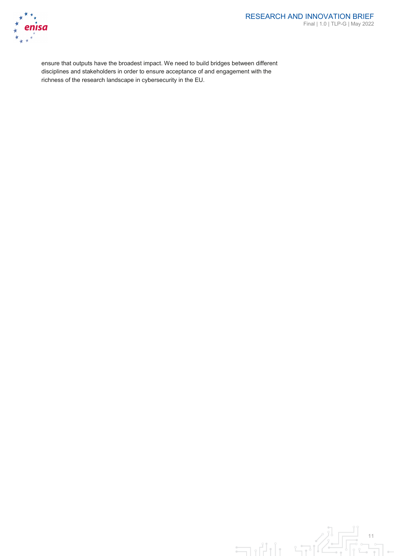

#### RESEARCH AND INNOVATION BRIEF Final | 1.0 | TLP-G | May 2022

ensure that outputs have the broadest impact. We need to build bridges between different disciplines and stakeholders in order to ensure acceptance of and engagement with the richness of the research landscape in cybersecurity in the EU.

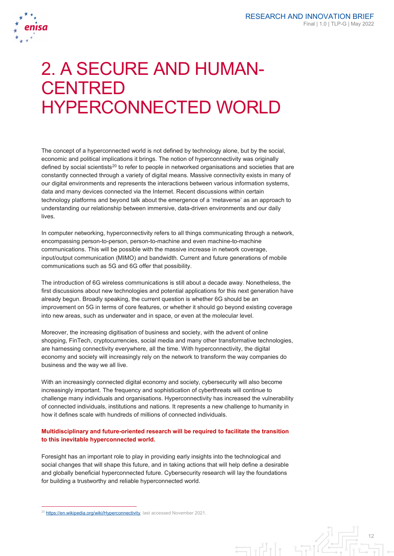

# 2. A SECURE AND HUMAN-**CENTRED** HYPERCONNECTED WORLD

The concept of a hyperconnected world is not defined by technology alone, but by the social, economic and political implications it brings. The notion of hyperconnectivity was originally defined by social scientists<sup>[20](#page-12-0)</sup> to refer to people in networked organisations and societies that are constantly connected through a variety of digital means. Massive connectivity exists in many of our digital environments and represents the interactions between various information systems, data and many devices connected via the Internet. Recent discussions within certain technology platforms and beyond talk about the emergence of a 'metaverse' as an approach to understanding our relationship between immersive, data-driven environments and our daily lives.

In computer networking, hyperconnectivity refers to all things communicating through a network, encompassing person-to-person, person-to-machine and even machine-to-machine communications. This will be possible with the massive increase in network coverage, input/output communication (MIMO) and bandwidth. Current and future generations of mobile communications such as 5G and 6G offer that possibility.

The introduction of 6G wireless communications is still about a decade away. Nonetheless, the first discussions about new technologies and potential applications for this next generation have already begun. Broadly speaking, the current question is whether 6G should be an improvement on 5G in terms of core features, or whether it should go beyond existing coverage into new areas, such as underwater and in space, or even at the molecular level.

Moreover, the increasing digitisation of business and society, with the advent of online shopping, FinTech, cryptocurrencies, social media and many other transformative technologies, are harnessing connectivity everywhere, all the time. With hyperconnectivity, the digital economy and society will increasingly rely on the network to transform the way companies do business and the way we all live.

With an increasingly connected digital economy and society, cybersecurity will also become increasingly important. The frequency and sophistication of cyberthreats will continue to challenge many individuals and organisations. Hyperconnectivity has increased the vulnerability of connected individuals, institutions and nations. It represents a new challenge to humanity in how it defines scale with hundreds of millions of connected individuals.

#### **Multidisciplinary and future-oriented research will be required to facilitate the transition to this inevitable hyperconnected world.**

Foresight has an important role to play in providing early insights into the technological and social changes that will shape this future, and in taking actions that will help define a desirable and globally beneficial hyperconnected future. Cybersecurity research will lay the foundations for building a trustworthy and reliable hyperconnected world.

-

12  $\exists$ 

<span id="page-12-0"></span><sup>&</sup>lt;sup>20</sup> [https://en.wikipedia.org/wiki/Hyperconnectivity,](https://en.wikipedia.org/wiki/Hyperconnectivity) last accessed November 2021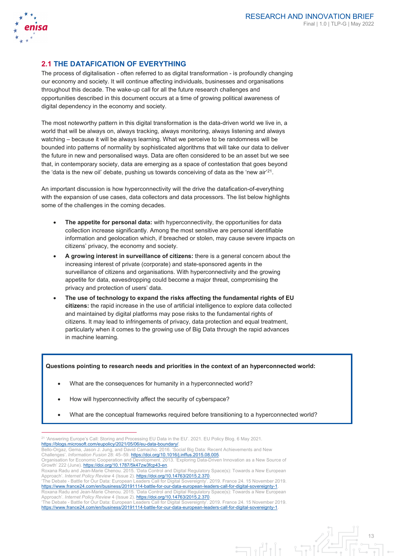

-

#### RESEARCH AND INNOVATION BRIEF Final | 1.0 | TLP-G | May 2022

13

# **2.1 THE DATAFICATION OF EVERYTHING**

The process of digitalisation - often referred to as digital transformation - is profoundly changing our economy and society. It will continue affecting individuals, businesses and organisations throughout this decade. The wake-up call for all the future research challenges and opportunities described in this document occurs at a time of growing political awareness of digital dependency in the economy and society.

The most noteworthy pattern in this digital transformation is the data-driven world we live in, a world that will be always on, always tracking, always monitoring, always listening and always watching – because it will be always learning. What we perceive to be randomness will be bounded into patterns of normality by sophisticated algorithms that will take our data to deliver the future in new and personalised ways. Data are often considered to be an asset but we see that, in contemporary society, data are emerging as a space of contestation that goes beyond the 'data is the new oil' debate, pushing us towards conceiving of data as the 'new air' [21](#page-13-0).

An important discussion is how hyperconnectivity will the drive the datafication-of-everything with the expansion of use cases, data collectors and data processors. The list below highlights some of the challenges in the coming decades.

- **The appetite for personal data:** with hyperconnectivity, the opportunities for data collection increase significantly. Among the most sensitive are personal identifiable information and geolocation which, if breached or stolen, may cause severe impacts on citizens' privacy, the economy and society.
- **A growing interest in surveillance of citizens:** there is a general concern about the increasing interest of private (corporate) and state-sponsored agents in the surveillance of citizens and organisations. With hyperconnectivity and the growing appetite for data, eavesdropping could become a major threat, compromising the privacy and protection of users' data.
- **The use of technology to expand the risks affecting the fundamental rights of EU citizens:** the rapid increase in the use of artificial intelligence to explore data collected and maintained by digital platforms may pose risks to the fundamental rights of citizens. It may lead to infringements of privacy, data protection and equal treatment, particularly when it comes to the growing use of Big Data through the rapid advances in machine learning.

#### **Questions pointing to research needs and priorities in the context of an hyperconnected world:**

- What are the consequences for humanity in a hyperconnected world?
- How will hyperconnectivity affect the security of cyberspace?
- What are the conceptual frameworks required before transitioning to a hyperconnected world?

<span id="page-13-0"></span><sup>21</sup> 'Answering Europe's Call: Storing and Processing EU Data in the EU'. 2021. EU Policy Blog. 6 May 2021. [https://blogs.microsoft.com/eupolicy/2021/05/06/eu-data-boundary/.](https://blogs.microsoft.com/eupolicy/2021/05/06/eu-data-boundary/) 

Bello-Orgaz, Gema, Jason J. Jung, and David Camacho. 2016. 'Social Big Data: Recent Achievements and New Challenges'. *Information Fusion* 28: 45–59[. https://doi.org/10.1016/j.inffus.2015.08.005.](https://doi.org/10.1016/j.inffus.2015.08.005) 

Organisation for Economic Cooperation and Development. 2013. 'Exploring Data-Driven Innovation as a New Source of Growth' 222 (June). [https://doi.org/10.1787/5k47zw3fcp43-en.](https://doi.org/10.1787/5k47zw3fcp43-en) 

Roxana Radu and Jean-Marie Chenou. 2015. 'Data Control and Digital Regulatory Space(s): Towards a New European Approach'. *Internet Policy Review* 4 (Issue 2)[. https://doi.org/10.14763/2015.2.370.](https://doi.org/10.14763/2015.2.370)  'The Debate - Battle for Our Data: European Leaders Call for Digital Sovereignty'. 2019. France 24. 15 November 2019.

[https://www.france24.com/en/business/20191114-battle-for-our-data-european-leaders-call-for-digital-sovereignty-1.](https://www.france24.com/en/business/20191114-battle-for-our-data-european-leaders-call-for-digital-sovereignty-1)  Roxana Radu and Jean-Marie Chenou. 2015. 'Data Control and Digital Regulatory Space(s): Towards a New European Approach'. *Internet Policy Review* 4 (Issue 2)[. https://doi.org/10.14763/2015.2.370.](https://doi.org/10.14763/2015.2.370)  'The Debate - Battle for Our Data: European Leaders Call for Digital Sovereignty'. 2019. France 24. 15 November 2019.

[https://www.france24.com/en/business/20191114-battle-for-our-data-european-leaders-call-for-digital-sovereignty-1.](https://www.france24.com/en/business/20191114-battle-for-our-data-european-leaders-call-for-digital-sovereignty-1)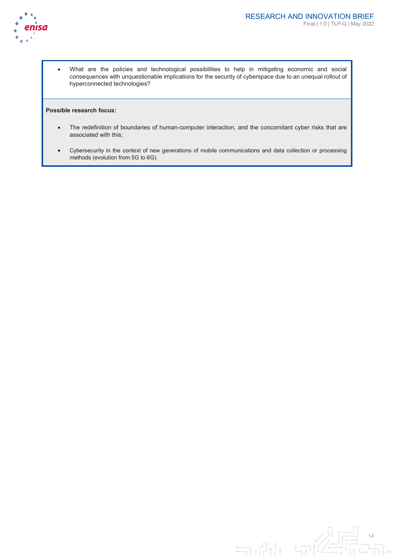

• What are the policies and technological possibilities to help in mitigating economic and social consequences with unquestionable implications for the security of cyberspace due to an unequal rollout of hyperconnected technologies?

#### **Possible research focus:**

- The redefinition of boundaries of human-computer interaction, and the concomitant cyber risks that are associated with this;
- Cybersecurity in the context of new generations of mobile communications and data collection or processing methods (evolution from 5G to 6G).

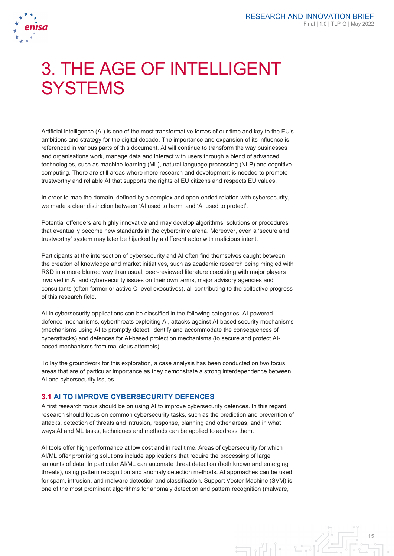

# 3. THE AGE OF INTELLIGENT **SYSTEMS**

Artificial intelligence (AI) is one of the most transformative forces of our time and key to the EU's ambitions and strategy for the digital decade. The importance and expansion of its influence is referenced in various parts of this document. AI will continue to transform the way businesses and organisations work, manage data and interact with users through a blend of advanced technologies, such as machine learning (ML), natural language processing (NLP) and cognitive computing. There are still areas where more research and development is needed to promote trustworthy and reliable AI that supports the rights of EU citizens and respects EU values.

In order to map the domain, defined by a complex and open-ended relation with cybersecurity, we made a clear distinction between 'AI used to harm' and 'AI used to protect'.

Potential offenders are highly innovative and may develop algorithms, solutions or procedures that eventually become new standards in the cybercrime arena. Moreover, even a 'secure and trustworthy' system may later be hijacked by a different actor with malicious intent.

Participants at the intersection of cybersecurity and AI often find themselves caught between the creation of knowledge and market initiatives, such as academic research being mingled with R&D in a more blurred way than usual, peer-reviewed literature coexisting with major players involved in AI and cybersecurity issues on their own terms, major advisory agencies and consultants (often former or active C-level executives), all contributing to the collective progress of this research field.

AI in cybersecurity applications can be classified in the following categories: AI-powered defence mechanisms, cyberthreats exploiting AI, attacks against AI-based security mechanisms (mechanisms using AI to promptly detect, identify and accommodate the consequences of cyberattacks) and defences for AI-based protection mechanisms (to secure and protect AIbased mechanisms from malicious attempts).

To lay the groundwork for this exploration, a case analysis has been conducted on two focus areas that are of particular importance as they demonstrate a strong interdependence between AI and cybersecurity issues.

## **3.1 AI TO IMPROVE CYBERSECURITY DEFENCES**

A first research focus should be on using AI to improve cybersecurity defences. In this regard, research should focus on common cybersecurity tasks, such as the prediction and prevention of attacks, detection of threats and intrusion, response, planning and other areas, and in what ways AI and ML tasks, techniques and methods can be applied to address them.

AI tools offer high performance at low cost and in real time. Areas of cybersecurity for which AI/ML offer promising solutions include applications that require the processing of large amounts of data. In particular AI/ML can automate threat detection (both known and emerging threats), using pattern recognition and anomaly detection methods. AI approaches can be used for spam, intrusion, and malware detection and classification. Support Vector Machine (SVM) is one of the most prominent algorithms for anomaly detection and pattern recognition (malware,

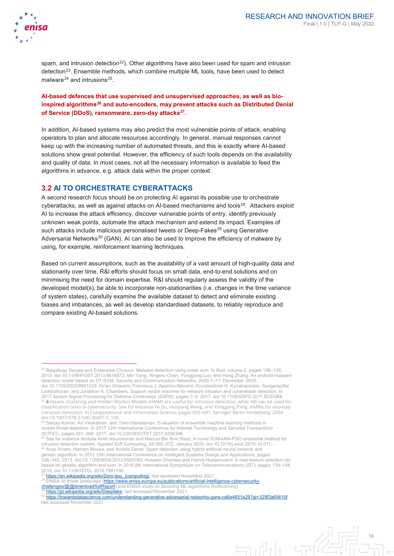

-

spam, and intrusion detection<sup>[22](#page-16-0)</sup>). Other algorithms have also been used for spam and intrusion detection<sup>[23](#page-16-1)</sup>. Ensemble methods, which combine multiple ML tools, have been used to detect malware<sup>[24](#page-16-2)</sup> and intrusions<sup>25</sup>.

**AI-based defences that use supervised and unsupervised approaches, as well as bioinspired algorithms[26](#page-16-4) and auto-encoders, may prevent attacks such as Distributed Denial of Service (DDoS), ransomware, zero-day attacks[27](#page-16-5).**

In addition, AI-based systems may also predict the most vulnerable points of attack, enabling operators to plan and allocate resources accordingly. In general, manual responses cannot keep up with the increasing number of automated threats, and this is exactly where AI-based solutions show great potential. However, the efficiency of such tools depends on the availability and quality of data. In most cases, not all the necessary information is available to feed the algorithms in advance, e.g. attack data within the proper context.

#### **3.2 AI TO ORCHESTRATE CYBERATTACKS**

A second research focus should be on protecting AI against its possible use to orchestrate cyberattacks, as well as against attacks on AI-based mechanisms and tools<sup>[28](#page-16-6)</sup>. Attackers exploit AI to increase the attack efficiency, discover vulnerable points of entry, identify previously unknown weak points, automate the attack mechanism and extend its impact. Examples of such attacks include malicious personalised tweets or Deep-Fakes<sup>[29](#page-16-7)</sup> using Generative Adversarial Networks $30$  (GAN). AI can also be used to improve the efficiency of malware by using, for example, reinforcement learning techniques.

Based on current assumptions, such as the availability of a vast amount of high-quality data and stationarity over time, R&I efforts should focus on small data, end-to-end solutions and on minimising the need for domain expertise. R&I should regularly assess the validity of the developed model(s), be able to incorporate non-stationarities (i.e. changes in the time variance of system states), carefully examine the available dataset to detect and eliminate existing biases and imbalances, as well as develop standardised datasets, to reliably reproduce and compare existing AI-based solutions.

<span id="page-16-4"></span><span id="page-16-3"></span>intrusion detection system. Applied Soft Computing, 38:360–372, January 2016. doi:10.1016/j.asoc.2015.10.011.. <sup>26</sup> Anas Arram, Hisham Mousa, and Anzida Zainal. Spam detection using hybrid artificial neural network and genetic algorithm. In 2013 13th International Conference on Intelligent Systems Design and Applications, pages 336–340, 2013. doi:10.1109/ISDA.2013.6920760; Hossein Gharaee and Hamid Hosseinvand. A new feature selection ids

based on genetic algorithm and svm. In 2016 8th International Symposium on Telecommunications (IST), pages 139–144, 2016, doi:10.1109/ISTEL.2016.7881798.

- https://en.wikipedia.org/wiki/Zero-day (computing), last accessed November 2021
- <span id="page-16-6"></span><span id="page-16-5"></span>28 ENISA AI threat landscape [\(https://www.enisa.europa.eu/publications/artificial-intelligence-cybersecurity-](https://www.enisa.europa.eu/publications/artificial-intelligence-cybersecurity-challenges/@@download/fullReport)
- <u>challenges/@@download/fullReport</u>) and ENISA study on Securing ML algorithms (forthcoming)<br><sup>29</sup> <u>https://pt.wikipedia.org/wiki/Deepfake</u>, last accessed November 2021.

<span id="page-16-8"></span><span id="page-16-7"></span><sup>30</sup> [https://towardsdatascience.com/understanding-generative-adversarial-networks-gans-cd6e4651a29?gi=329f3a60610f,](https://towardsdatascience.com/understanding-generative-adversarial-networks-gans-cd6e4651a29?gi=329f3a60610f)  last accessed November 2021.



<span id="page-16-0"></span><sup>22</sup> Baigaltugs Sanjaa and Erdenebat Chuluun. Malware detection using linear svm. In Ifost, volume 2, pages 136–138, 2013. doi:10.1109/IFOST.2013.6616872; Min Yang, Xingshu Chen, Yonggang Luo, and Hang Zhang. An android malware detection model based on DT-SVM. Security and Communication Networks, 2020:1–11, December 2020. doi:10.1155/2020/8841233; Kinan Ghanem, Francisco J. Aparicio-Navarro, Konstantinos G. Kyriakopoulos, Sangarapillai Lambotharan, and Jonathon A. Chambers. Support vector machine for network intrusion and cyberattack detection. In 2017 Sensor Signal Processing for Defence Conference (SSPD), pages 1–5, 2017. doi:10.1109/SSPD.2017.8233268. <sup>23</sup> *k*-means clustering and Hidden Markov Models (HMM) are useful for intrusion detection, while NB can be used for classification tasks in cybersecurity. See for instance Ye Du, Huiqiang Wang, and Yonggang Pang. HMMs for anomaly intrusion detection. In Computational and Information Science, pages 692–697. Springer Berlin Heidelberg, 2004. doi:10.1007/978-3-540-30497-5\_108.

<span id="page-16-2"></span><span id="page-16-1"></span><sup>&</sup>lt;sup>24</sup> Saniav Kumar, Ari Viinikainen, and Timo Hamalainen. Evaluation of ensemble machine learning methods in mobile threat detection. In 2017 12th International Conference for Internet Technology and Secured Transactions (ICITST), pages 261–268, 2017. doi:10.23919/ICITST.2017.8356396.<br><sup>25</sup> See for instance Abdulla Amin Aburomman and Mamun Bin Ibne Reaz. A novel SVM-kNN-PSO ensemble method for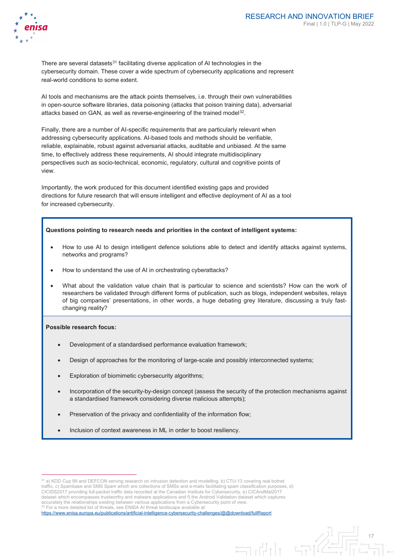

There are several datasets<sup>[31](#page-17-0)</sup> facilitating diverse application of AI technologies in the cybersecurity domain. These cover a wide spectrum of cybersecurity applications and represent real-world conditions to some extent.

AI tools and mechanisms are the attack points themselves, i.e. through their own vulnerabilities in open-source software libraries, data poisoning (attacks that poison training data), adversarial attacks based on GAN, as well as reverse-engineering of the trained model<sup>[32](#page-17-1)</sup>.

Finally, there are a number of AI-specific requirements that are particularly relevant when addressing cybersecurity applications. AI-based tools and methods should be verifiable, reliable, explainable, robust against adversarial attacks, auditable and unbiased. At the same time, to effectively address these requirements, AI should integrate multidisciplinary perspectives such as socio-technical, economic, regulatory, cultural and cognitive points of view.

Importantly, the work produced for this document identified existing gaps and provided directions for future research that will ensure intelligent and effective deployment of AI as a tool for increased cybersecurity.

#### **Questions pointing to research needs and priorities in the context of intelligent systems:**

- How to use AI to design intelligent defence solutions able to detect and identify attacks against systems, networks and programs?
- How to understand the use of AI in orchestrating cyberattacks?
- What about the validation value chain that is particular to science and scientists? How can the work of researchers be validated through different forms of publication, such as blogs, independent websites, relays of big companies' presentations, in other words, a huge debating grey literature, discussing a truly fastchanging reality?

#### **Possible research focus:**

-

- Development of a standardised performance evaluation framework;
- Design of approaches for the monitoring of large-scale and possibly interconnected systems;
- Exploration of biomimetic cybersecurity algorithms;
- Incorporation of the security-by-design concept (assess the security of the protection mechanisms against a standardised framework considering diverse malicious attempts);

 $\exists$ 

- Preservation of the privacy and confidentiality of the information flow;
- Inclusion of context awareness in ML in order to boost resiliency.

<span id="page-17-0"></span><sup>31</sup> a) KDD Cup 99 and DEFCON serving research on intrusion detection and modelling, b) CTU-13 covering real botnet traffic, c) Spambase and SMS Spam which are collections of SMSs and e-mails facilitating spam classification purposes, d) CICIDS2017 providing full-packet traffic data recorded at the Canadian Institute for Cybersecurity, e) CICAndMal2017 dataset which encompasses trustworthy and malware applications and f) the Android Validation dataset which captures accurately the relationships existing between various applications from a Cybersecurity point of view. 32 For a more detailed list of threats, see ENISA AI threat landscape available at

<span id="page-17-1"></span><https://www.enisa.europa.eu/publications/artificial-intelligence-cybersecurity-challenges/@@download/fullReport>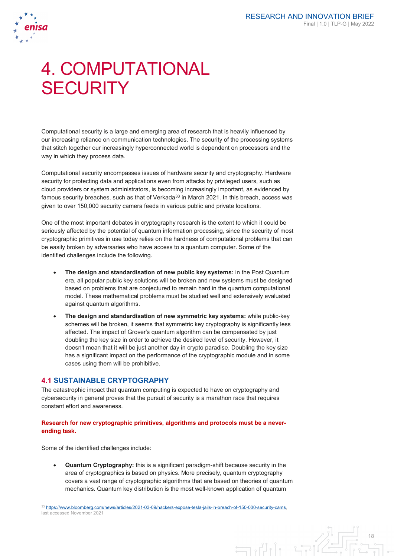

# 4. COMPUTATIONAL **SECURITY**

Computational security is a large and emerging area of research that is heavily influenced by our increasing reliance on communication technologies. The security of the processing systems that stitch together our increasingly hyperconnected world is dependent on processors and the way in which they process data.

Computational security encompasses issues of hardware security and cryptography. Hardware security for protecting data and applications even from attacks by privileged users, such as cloud providers or system administrators, is becoming increasingly important, as evidenced by famous security breaches, such as that of Verkada $33$  in March 2021. In this breach, access was given to over 150,000 security camera feeds in various public and private locations.

One of the most important debates in cryptography research is the extent to which it could be seriously affected by the potential of quantum information processing, since the security of most cryptographic primitives in use today relies on the hardness of computational problems that can be easily broken by adversaries who have access to a quantum computer. Some of the identified challenges include the following.

- **The design and standardisation of new public key systems:** in the Post Quantum era, all popular public key solutions will be broken and new systems must be designed based on problems that are conjectured to remain hard in the quantum computational model. These mathematical problems must be studied well and extensively evaluated against quantum algorithms.
- **The design and standardisation of new symmetric key systems:** while public-key schemes will be broken, it seems that symmetric key cryptography is significantly less affected. The impact of Grover's quantum algorithm can be compensated by just doubling the key size in order to achieve the desired level of security. However, it doesn't mean that it will be just another day in crypto paradise. Doubling the key size has a significant impact on the performance of the cryptographic module and in some cases using them will be prohibitive.

## **4.1 SUSTAINABLE CRYPTOGRAPHY**

The catastrophic impact that quantum computing is expected to have on cryptography and cybersecurity in general proves that the pursuit of security is a marathon race that requires constant effort and awareness.

#### **Research for new cryptographic primitives, algorithms and protocols must be a neverending task.**

Some of the identified challenges include:

-

• **Quantum Cryptography:** this is a significant paradigm-shift because security in the area of cryptographics is based on physics. More precisely, quantum cryptography covers a vast range of cryptographic algorithms that are based on theories of quantum mechanics. Quantum key distribution is the most well-known application of quantum

انی ہے

18

<span id="page-18-0"></span><sup>33</sup> https://www.bloomberg.com/news/articles/2021-03-09/hackers-expose-tesla-jails-in-breach-of-150-000-security-cams last accessed November 2021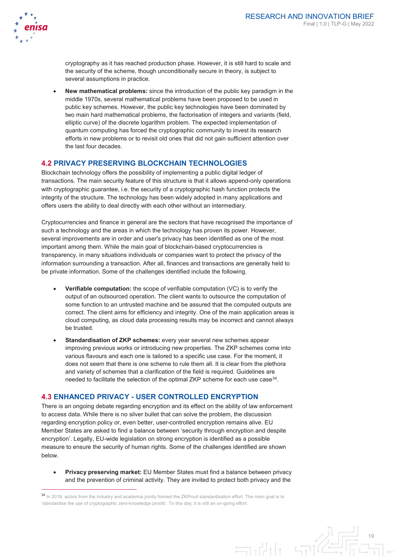

cryptography as it has reached production phase. However, it is still hard to scale and the security of the scheme, though unconditionally secure in theory, is subject to several assumptions in practice.

• **New mathematical problems:** since the introduction of the public key paradigm in the middle 1970s, several mathematical problems have been proposed to be used in public key schemes. However, the public key technologies have been dominated by two main hard mathematical problems, the factorisation of integers and variants (field, elliptic curve) of the discrete logarithm problem. The expected implementation of quantum computing has forced the cryptographic community to invest its research efforts in new problems or to revisit old ones that did not gain sufficient attention over the last four decades.

## **4.2 PRIVACY PRESERVING BLOCKCHAIN TECHNOLOGIES**

Blockchain technology offers the possibility of implementing a public digital ledger of transactions. The main security feature of this structure is that it allows append-only operations with cryptographic guarantee, i.e. the security of a cryptographic hash function protects the integrity of the structure. The technology has been widely adopted in many applications and offers users the ability to deal directly with each other without an intermediary.

Cryptocurrencies and finance in general are the sectors that have recognised the importance of such a technology and the areas in which the technology has proven its power. However, several improvements are in order and user's privacy has been identified as one of the most important among them. While the main goal of blockchain-based cryptocurrencies is transparency, in many situations individuals or companies want to protect the privacy of the information surrounding a transaction. After all, finances and transactions are generally held to be private information. Some of the challenges identified include the following.

- **Verifiable computation:** the scope of verifiable computation (VC) is to verify the output of an outsourced operation. The client wants to outsource the computation of some function to an untrusted machine and be assured that the computed outputs are correct. The client aims for efficiency and integrity. One of the main application areas is cloud computing, as cloud data processing results may be incorrect and cannot always be trusted.
- **Standardisation of ZKP schemes:** every year several new schemes appear improving previous works or introducing new properties. The ZKP schemes come into various flavours and each one is tailored to a specific use case. For the moment, it does not seem that there is one scheme to rule them all. It is clear from the plethora and variety of schemes that a clarification of the field is required. Guidelines are needed to facilitate the selection of the optimal ZKP scheme for each use case<sup>34</sup>.

## **4.3 ENHANCED PRIVACY - USER CONTROLLED ENCRYPTION**

There is an ongoing debate regarding encryption and its effect on the ability of law enforcement to access data. While there is no silver bullet that can solve the problem, the discussion regarding encryption policy or, even better, user-controlled encryption remains alive. EU Member States are asked to find a balance between 'security through encryption and despite encryption'. Legally, EU-wide legislation on strong encryption is identified as a possible measure to ensure the security of human rights. Some of the challenges identified are shown below.

• **Privacy preserving market:** EU Member States must find a balance between privacy and the prevention of criminal activity. They are invited to protect both privacy and the

<span id="page-19-0"></span><sup>&</sup>lt;sup>34</sup> In 2018, actors from the industry and academia jointly formed the ZKProof standardisation effort. The main goal is to 'standardise the use of cryptographic zero-knowledge proofs'. To this day, it is still an on-going effort.

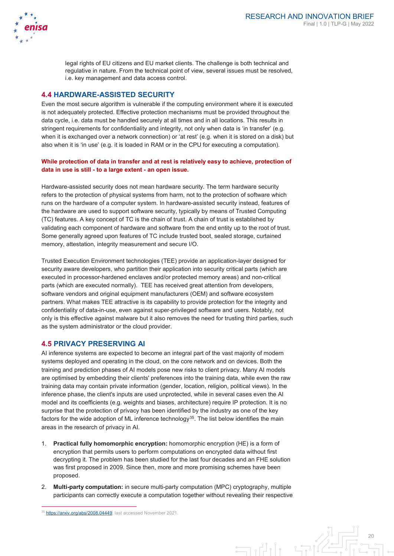legal rights of EU citizens and EU market clients. The challenge is both technical and regulative in nature. From the technical point of view, several issues must be resolved, i.e. key management and data access control.

# **4.4 HARDWARE-ASSISTED SECURITY**

Even the most secure algorithm is vulnerable if the computing environment where it is executed is not adequately protected. Effective protection mechanisms must be provided throughout the data cycle, i.e. data must be handled securely at all times and in all locations. This results in stringent requirements for confidentiality and integrity, not only when data is 'in transfer' (e.g. when it is exchanged over a network connection) or 'at rest' (e.g. when it is stored on a disk) but also when it is 'in use' (e.g. it is loaded in RAM or in the CPU for executing a computation).

#### **While protection of data in transfer and at rest is relatively easy to achieve, protection of data in use is still - to a large extent - an open issue.**

Hardware-assisted security does not mean hardware security. The term hardware security refers to the protection of physical systems from harm, not to the protection of software which runs on the hardware of a computer system. In hardware-assisted security instead, features of the hardware are used to support software security, typically by means of Trusted Computing (TC) features. A key concept of TC is the chain of trust. A chain of trust is established by validating each component of hardware and software from the end entity up to the root of trust. Some generally agreed upon features of TC include trusted boot, sealed storage, curtained memory, attestation, integrity measurement and secure I/O.

Trusted Execution Environment technologies (TEE) provide an application-layer designed for security aware developers, who partition their application into security critical parts (which are executed in processor-hardened enclaves and/or protected memory areas) and non-critical parts (which are executed normally). TEE has received great attention from developers, software vendors and original equipment manufacturers (OEM) and software ecosystem partners. What makes TEE attractive is its capability to provide protection for the integrity and confidentiality of data-in-use, even against super-privileged software and users. Notably, not only is this effective against malware but it also removes the need for trusting third parties, such as the system administrator or the cloud provider.

# **4.5 PRIVACY PRESERVING AI**

AI inference systems are expected to become an integral part of the vast majority of modern systems deployed and operating in the cloud, on the core network and on devices. Both the training and prediction phases of AI models pose new risks to client privacy. Many AI models are optimised by embedding their clients' preferences into the training data, while even the raw training data may contain private information (gender, location, religion, political views). In the inference phase, the client's inputs are used unprotected, while in several cases even the AI model and its coefficients (e.g. weights and biases, architecture) require IP protection. It is no surprise that the protection of privacy has been identified by the industry as one of the key factors for the wide adoption of ML inference technology<sup>35</sup>. The list below identifies the main areas in the research of privacy in AI.

- 1. **Practical fully homomorphic encryption:** homomorphic encryption (HE) is a form of encryption that permits users to perform computations on encrypted data without first decrypting it. The problem has been studied for the last four decades and an FHE solution was first proposed in 2009. Since then, more and more promising schemes have been proposed.
- 2. **Multi-party computation:** in secure multi-party computation (MPC) cryptography, multiple participants can correctly execute a computation together without revealing their respective

-

20  $\exists$ 

<span id="page-20-0"></span><sup>&</sup>lt;sup>35</sup> [https://arxiv.org/abs/2008.04449,](https://arxiv.org/abs/2008.04449) last accessed November 2021.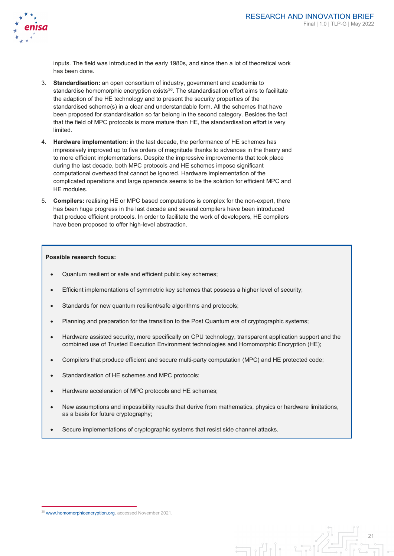

inputs. The field was introduced in the early 1980s, and since then a lot of theoretical work has been done.

- 3. **Standardisation:** an open consortium of industry, government and academia to standardise homomorphic encryption exists $36$ . The standardisation effort aims to facilitate the adaption of the HE technology and to present the security properties of the standardised scheme(s) in a clear and understandable form. All the schemes that have been proposed for standardisation so far belong in the second category. Besides the fact that the field of MPC protocols is more mature than HE, the standardisation effort is very limited.
- 4. **Hardware implementation:** in the last decade, the performance of HE schemes has impressively improved up to five orders of magnitude thanks to advances in the theory and to more efficient implementations. Despite the impressive improvements that took place during the last decade, both MPC protocols and HE schemes impose significant computational overhead that cannot be ignored. Hardware implementation of the complicated operations and large operands seems to be the solution for efficient MPC and HE modules.
- 5. **Compilers:** realising HE or MPC based computations is complex for the non-expert, there has been huge progress in the last decade and several compilers have been introduced that produce efficient protocols. In order to facilitate the work of developers, HE compilers have been proposed to offer high-level abstraction.

#### **Possible research focus:**

- Quantum resilient or safe and efficient public key schemes;
- Efficient implementations of symmetric key schemes that possess a higher level of security;
- Standards for new quantum resilient/safe algorithms and protocols;
- Planning and preparation for the transition to the Post Quantum era of cryptographic systems;
- Hardware assisted security, more specifically on CPU technology, transparent application support and the combined use of Trusted Execution Environment technologies and Homomorphic Encryption (HE);
- Compilers that produce efficient and secure multi-party computation (MPC) and HE protected code;
- Standardisation of HE schemes and MPC protocols;
- Hardware acceleration of MPC protocols and HE schemes;
- New assumptions and impossibility results that derive from mathematics, physics or hardware limitations, as a basis for future cryptography;

 $\Box$ 

• Secure implementations of cryptographic systems that resist side channel attacks.

-

<span id="page-21-0"></span><sup>&</sup>lt;sup>36</sup> [www.homomorphicencryption.org,](http://www.homomorphicencryption.org/) accessed November 2021.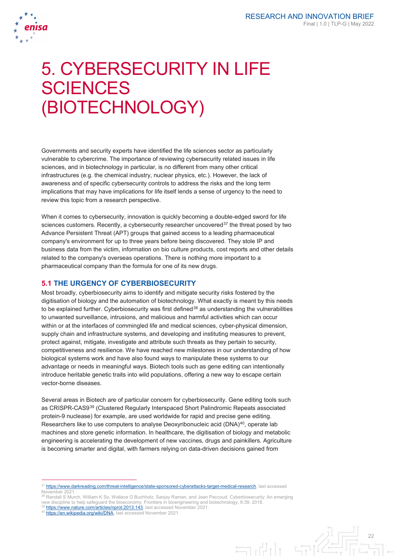

# 5. CYBERSECURITY IN LIFE **SCIENCES** (BIOTECHNOLOGY)

Governments and security experts have identified the life sciences sector as particularly vulnerable to cybercrime. The importance of reviewing cybersecurity related issues in life sciences, and in biotechnology in particular, is no different from many other critical infrastructures (e.g. the chemical industry, nuclear physics, etc.). However, the lack of awareness and of specific cybersecurity controls to address the risks and the long term implications that may have implications for life itself lends a sense of urgency to the need to review this topic from a research perspective.

When it comes to cybersecurity, innovation is quickly becoming a double-edged sword for life sciences customers. Recently, a cybersecurity researcher uncovered<sup>[37](#page-22-0)</sup> the threat posed by two Advance Persistent Threat (APT) groups that gained access to a leading pharmaceutical company's environment for up to three years before being discovered. They stole IP and business data from the victim, information on bio culture products, cost reports and other details related to the company's overseas operations. There is nothing more important to a pharmaceutical company than the formula for one of its new drugs.

## **5.1 THE URGENCY OF CYBERBIOSECURITY**

Most broadly, cyberbiosecurity aims to identify and mitigate security risks fostered by the digitisation of biology and the automation of biotechnology. What exactly is meant by this needs to be explained further. Cyberbiosecurity was first defined<sup>[38](#page-22-1)</sup> as understanding the vulnerabilities to unwanted surveillance, intrusions, and malicious and harmful activities which can occur within or at the interfaces of commingled life and medical sciences, cyber-physical dimension, supply chain and infrastructure systems, and developing and instituting measures to prevent, protect against, mitigate, investigate and attribute such threats as they pertain to security, competitiveness and resilience. We have reached new milestones in our understanding of how biological systems work and have also found ways to manipulate these systems to our advantage or needs in meaningful ways. Biotech tools such as gene editing can intentionally introduce heritable genetic traits into wild populations, offering a new way to escape certain vector-borne diseases.

Several areas in Biotech are of particular concern for cyberbiosecurity. Gene editing tools such as CRISPR-CAS9[39](#page-22-2) (Clustered Regularly Interspaced Short Palindromic Repeats associated protein-9 nuclease) for example, are used worldwide for rapid and precise gene editing. Researchers like to use computers to analyse Deoxyribonucleic acid (DNA)<sup>[40](#page-22-3)</sup>, operate lab machines and store genetic information. In healthcare, the digitisation of biology and metabolic engineering is accelerating the development of new vaccines, drugs and painkillers. Agriculture is becoming smarter and digital, with farmers relying on data-driven decisions gained from

[https://www.nature.com/articles/nprot.2013.143,](https://www.nature.com/articles/nprot.2013.143) last accessed November 2021.

-



[https://www.darkreading.com/threat-intelligence/state-sponsored-cyberattacks-target-medical-research,](https://www.darkreading.com/threat-intelligence/state-sponsored-cyberattacks-target-medical-research) last accessed November 2021.

<span id="page-22-2"></span><span id="page-22-1"></span><span id="page-22-0"></span><sup>38</sup> Randall S Murch, William K So, Wallace G Buchholz, Sanjay Raman, and Jean Peccoud. Cyberbiosecurity: An emerging new discipline to help safeguard the bioeconomy. Frontiers in bioengineering and biotechnology, 6:39, 2018.

<span id="page-22-3"></span><sup>40</sup> [https://en.wikipedia.org/wiki/DNA,](https://en.wikipedia.org/wiki/DNA) last accessed November 2021.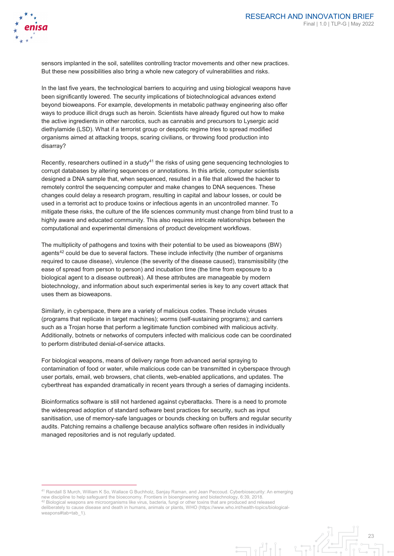

sensors implanted in the soil, satellites controlling tractor movements and other new practices. But these new possibilities also bring a whole new category of vulnerabilities and risks.

In the last five years, the technological barriers to acquiring and using biological weapons have been significantly lowered. The security implications of biotechnological advances extend beyond bioweapons. For example, developments in metabolic pathway engineering also offer ways to produce illicit drugs such as heroin. Scientists have already figured out how to make the active ingredients in other narcotics, such as cannabis and precursors to Lysergic acid diethylamide (LSD). What if a terrorist group or despotic regime tries to spread modified organisms aimed at attacking troops, scaring civilians, or throwing food production into disarray?

Recently, researchers outlined in a study $41$  the risks of using gene sequencing technologies to corrupt databases by altering sequences or annotations. In this article, computer scientists designed a DNA sample that, when sequenced, resulted in a file that allowed the hacker to remotely control the sequencing computer and make changes to DNA sequences. These changes could delay a research program, resulting in capital and labour losses, or could be used in a terrorist act to produce toxins or infectious agents in an uncontrolled manner. To mitigate these risks, the culture of the life sciences community must change from blind trust to a highly aware and educated community. This also requires intricate relationships between the computational and experimental dimensions of product development workflows.

The multiplicity of pathogens and toxins with their potential to be used as bioweapons (BW) agents<sup>[42](#page-23-1)</sup> could be due to several factors. These include infectivity (the number of organisms required to cause disease), virulence (the severity of the disease caused), transmissibility (the ease of spread from person to person) and incubation time (the time from exposure to a biological agent to a disease outbreak). All these attributes are manageable by modern biotechnology, and information about such experimental series is key to any covert attack that uses them as bioweapons.

Similarly, in cyberspace, there are a variety of malicious codes. These include viruses (programs that replicate in target machines); worms (self-sustaining programs); and carriers such as a Trojan horse that perform a legitimate function combined with malicious activity. Additionally, botnets or networks of computers infected with malicious code can be coordinated to perform distributed denial-of-service attacks.

For biological weapons, means of delivery range from advanced aerial spraying to contamination of food or water, while malicious code can be transmitted in cyberspace through user portals, email, web browsers, chat clients, web-enabled applications, and updates. The cyberthreat has expanded dramatically in recent years through a series of damaging incidents.

Bioinformatics software is still not hardened against cyberattacks. There is a need to promote the widespread adoption of standard software best practices for security, such as input sanitisation, use of memory-safe languages or bounds checking on buffers and regular security audits. Patching remains a challenge because analytics software often resides in individually managed repositories and is not regularly updated.

 $\exists$ 

<span id="page-23-1"></span><span id="page-23-0"></span> <sup>41</sup> Randall S Murch, William K So, Wallace G Buchholz, Sanjay Raman, and Jean Peccoud. Cyberbiosecurity: An emerging new discipline to help safeguard the bioeconomy. Frontiers in bioengineering and biotechnology, 6:39, 2018. <sup>42</sup> Biological weapons are microorganisms like virus, bacteria, fungi or other toxins that are produced and released deliberately to cause disease and death in humans, animals or plants, WHO (https://www.who.int/health-topics/biologicalweapons#tab=tab\_1).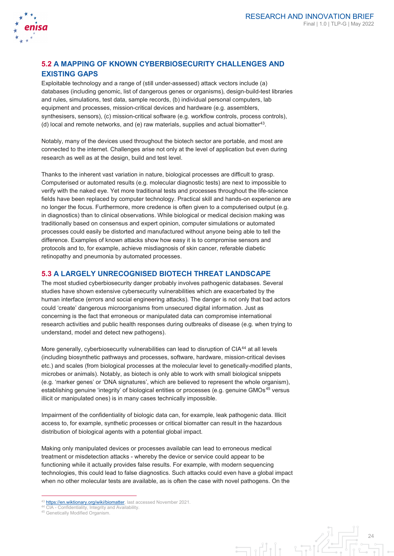

# **5.2 A MAPPING OF KNOWN CYBERBIOSECURITY CHALLENGES AND EXISTING GAPS**

Exploitable technology and a range of (still under-assessed) attack vectors include (a) databases (including genomic, list of dangerous genes or organisms), design-build-test libraries and rules, simulations, test data, sample records, (b) individual personal computers, lab equipment and processes, mission-critical devices and hardware (e.g. assemblers, synthesisers, sensors), (c) mission-critical software (e.g. workflow controls, process controls), (d) local and remote networks, and (e) raw materials, supplies and actual biomatter<sup>[43](#page-24-0)</sup>.

Notably, many of the devices used throughout the biotech sector are portable, and most are connected to the internet. Challenges arise not only at the level of application but even during research as well as at the design, build and test level.

Thanks to the inherent vast variation in nature, biological processes are difficult to grasp. Computerised or automated results (e.g. molecular diagnostic tests) are next to impossible to verify with the naked eye. Yet more traditional tests and processes throughout the life-science fields have been replaced by computer technology. Practical skill and hands-on experience are no longer the focus. Furthermore, more credence is often given to a computerised output (e.g. in diagnostics) than to clinical observations. While biological or medical decision making was traditionally based on consensus and expert opinion, computer simulations or automated processes could easily be distorted and manufactured without anyone being able to tell the difference. Examples of known attacks show how easy it is to compromise sensors and protocols and to, for example, achieve misdiagnosis of skin cancer, referable diabetic retinopathy and pneumonia by automated processes.

## **5.3 A LARGELY UNRECOGNISED BIOTECH THREAT LANDSCAPE**

The most studied cyberbiosecurity danger probably involves pathogenic databases. Several studies have shown extensive cybersecurity vulnerabilities which are exacerbated by the human interface (errors and social engineering attacks). The danger is not only that bad actors could 'create' dangerous microorganisms from unsecured digital information. Just as concerning is the fact that erroneous or manipulated data can compromise international research activities and public health responses during outbreaks of disease (e.g. when trying to understand, model and detect new pathogens).

More generally, cyberbiosecurity vulnerabilities can lead to disruption of CIA<sup>[44](#page-24-1)</sup> at all levels (including biosynthetic pathways and processes, software, hardware, mission-critical devises etc.) and scales (from biological processes at the molecular level to genetically-modified plants, microbes or animals). Notably, as biotech is only able to work with small biological snippets (e.g. 'marker genes' or 'DNA signatures', which are believed to represent the whole organism), establishing genuine 'integrity' of biological entities or processes (e.g. genuine GMOs<sup>[45](#page-24-2)</sup> versus illicit or manipulated ones) is in many cases technically impossible.

Impairment of the confidentiality of biologic data can, for example, leak pathogenic data. Illicit access to, for example, synthetic processes or critical biomatter can result in the hazardous distribution of biological agents with a potential global impact.

Making only manipulated devices or processes available can lead to erroneous medical treatment or misdetection attacks - whereby the device or service could appear to be functioning while it actually provides false results. For example, with modern sequencing technologies, this could lead to false diagnostics. Such attacks could even have a global impact when no other molecular tests are available, as is often the case with novel pathogens. On the

-

24  $\exists$ 

<span id="page-24-0"></span><sup>43</sup> [https://en.wiktionary.org/wiki/biomatter,](https://en.wiktionary.org/wiki/biomatter) last accessed November 2021.

<span id="page-24-1"></span><sup>&</sup>lt;sup>44</sup> CIA - Confidentiality, Integrity and Availability.

<span id="page-24-2"></span><sup>45</sup> Genetically Modified Organism.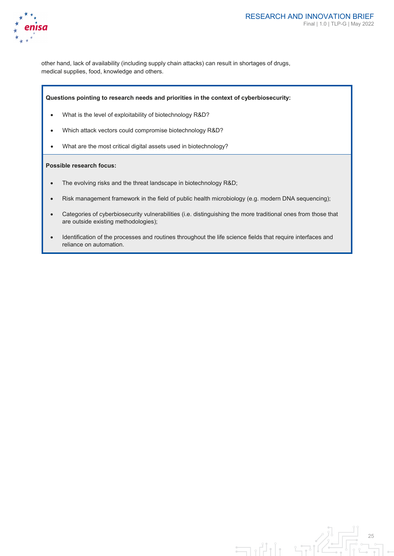

other hand, lack of availability (including supply chain attacks) can result in shortages of drugs, medical supplies, food, knowledge and others.

#### **Questions pointing to research needs and priorities in the context of cyberbiosecurity:**

- What is the level of exploitability of biotechnology R&D?
- Which attack vectors could compromise biotechnology R&D?
- What are the most critical digital assets used in biotechnology?

#### **Possible research focus:**

- The evolving risks and the threat landscape in biotechnology R&D;
- Risk management framework in the field of public health microbiology (e.g. modern DNA sequencing);
- Categories of cyberbiosecurity vulnerabilities (i.e. distinguishing the more traditional ones from those that are outside existing methodologies);
- Identification of the processes and routines throughout the life science fields that require interfaces and reliance on automation.

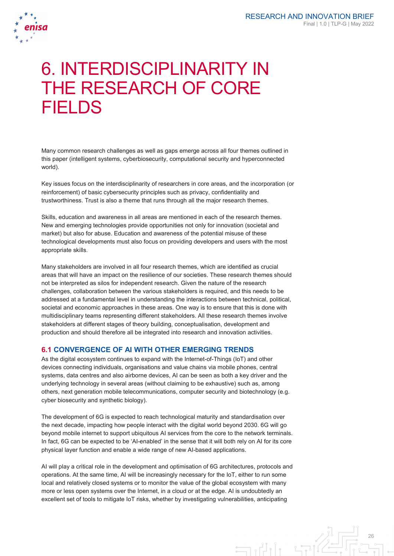

# 6. INTERDISCIPLINARITY IN THE RESEARCH OF CORE **FIFI DS**

Many common research challenges as well as gaps emerge across all four themes outlined in this paper (intelligent systems, cyberbiosecurity, computational security and hyperconnected world).

Key issues focus on the interdisciplinarity of researchers in core areas, and the incorporation (or reinforcement) of basic cybersecurity principles such as privacy, confidentiality and trustworthiness. Trust is also a theme that runs through all the major research themes.

Skills, education and awareness in all areas are mentioned in each of the research themes. New and emerging technologies provide opportunities not only for innovation (societal and market) but also for abuse. Education and awareness of the potential misuse of these technological developments must also focus on providing developers and users with the most appropriate skills.

Many stakeholders are involved in all four research themes, which are identified as crucial areas that will have an impact on the resilience of our societies. These research themes should not be interpreted as silos for independent research. Given the nature of the research challenges, collaboration between the various stakeholders is required, and this needs to be addressed at a fundamental level in understanding the interactions between technical, political, societal and economic approaches in these areas. One way is to ensure that this is done with multidisciplinary teams representing different stakeholders. All these research themes involve stakeholders at different stages of theory building, conceptualisation, development and production and should therefore all be integrated into research and innovation activities.

## **6.1 CONVERGENCE OF AI WITH OTHER EMERGING TRENDS**

As the digital ecosystem continues to expand with the Internet-of-Things (IoT) and other devices connecting individuals, organisations and value chains via mobile phones, central systems, data centres and also airborne devices, AI can be seen as both a key driver and the underlying technology in several areas (without claiming to be exhaustive) such as, among others, next generation mobile telecommunications, computer security and biotechnology (e.g. cyber biosecurity and synthetic biology).

The development of 6G is expected to reach technological maturity and standardisation over the next decade, impacting how people interact with the digital world beyond 2030. 6G will go beyond mobile internet to support ubiquitous AI services from the core to the network terminals. In fact, 6G can be expected to be 'AI-enabled' in the sense that it will both rely on AI for its core physical layer function and enable a wide range of new AI-based applications.

AI will play a critical role in the development and optimisation of 6G architectures, protocols and operations. At the same time, AI will be increasingly necessary for the IoT, either to run some local and relatively closed systems or to monitor the value of the global ecosystem with many more or less open systems over the Internet, in a cloud or at the edge. AI is undoubtedly an excellent set of tools to mitigate IoT risks, whether by investigating vulnerabilities, anticipating

> 26  $\exists$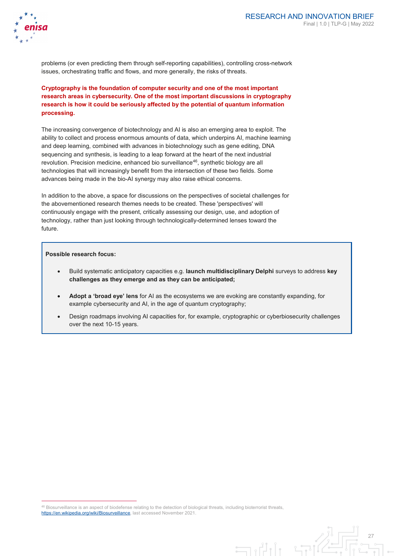

problems (or even predicting them through self-reporting capabilities), controlling cross-network issues, orchestrating traffic and flows, and more generally, the risks of threats.

**Cryptography is the foundation of computer security and one of the most important research areas in cybersecurity. One of the most important discussions in cryptography research is how it could be seriously affected by the potential of quantum information processing.**

The increasing convergence of biotechnology and AI is also an emerging area to exploit. The ability to collect and process enormous amounts of data, which underpins AI, machine learning and deep learning, combined with advances in biotechnology such as gene editing, DNA sequencing and synthesis, is leading to a leap forward at the heart of the next industrial revolution. Precision medicine, enhanced bio surveillance<sup>[46](#page-27-0)</sup>, synthetic biology are all technologies that will increasingly benefit from the intersection of these two fields. Some advances being made in the bio-AI synergy may also raise ethical concerns.

In addition to the above, a space for discussions on the perspectives of societal challenges for the abovementioned research themes needs to be created. These 'perspectives' will continuously engage with the present, critically assessing our design, use, and adoption of technology, rather than just looking through technologically-determined lenses toward the future.

#### **Possible research focus:**

-

- Build systematic anticipatory capacities e.g. **launch multidisciplinary Delphi** surveys to address **key challenges as they emerge and as they can be anticipated;**
- **Adopt a 'broad eye' lens** for AI as the ecosystems we are evoking are constantly expanding, for example cybersecurity and AI, in the age of quantum cryptography;
- Design roadmaps involving AI capacities for, for example, cryptographic or cyberbiosecurity challenges over the next 10-15 years.

 $\overline{\Box}$ 

<span id="page-27-0"></span><sup>46</sup> Biosurveillance is an aspect of biodefense relating to the detection of biological threats, including bioterrorist threats, [https://en.wikipedia.org/wiki/Biosurveillance,](https://en.wikipedia.org/wiki/Biosurveillance) last accessed November 2021.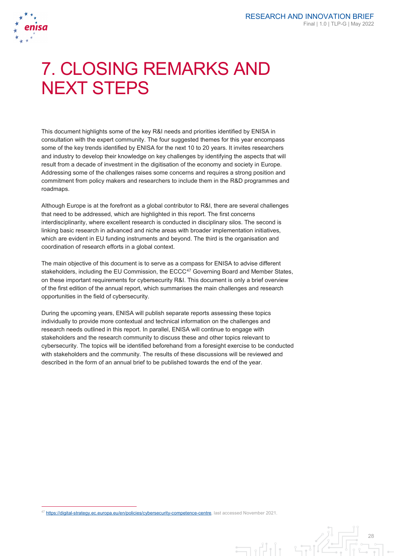

-

# 7. CLOSING REMARKS AND NEXT STEPS

This document highlights some of the key R&I needs and priorities identified by ENISA in consultation with the expert community. The four suggested themes for this year encompass some of the key trends identified by ENISA for the next 10 to 20 years. It invites researchers and industry to develop their knowledge on key challenges by identifying the aspects that will result from a decade of investment in the digitisation of the economy and society in Europe. Addressing some of the challenges raises some concerns and requires a strong position and commitment from policy makers and researchers to include them in the R&D programmes and roadmaps.

Although Europe is at the forefront as a global contributor to R&I, there are several challenges that need to be addressed, which are highlighted in this report. The first concerns interdisciplinarity, where excellent research is conducted in disciplinary silos. The second is linking basic research in advanced and niche areas with broader implementation initiatives, which are evident in EU funding instruments and beyond. The third is the organisation and coordination of research efforts in a global context.

The main objective of this document is to serve as a compass for ENISA to advise different stakeholders, including the EU Commission, the ECCC<sup>[47](#page-28-0)</sup> Governing Board and Member States, on these important requirements for cybersecurity R&I. This document is only a brief overview of the first edition of the annual report, which summarises the main challenges and research opportunities in the field of cybersecurity.

During the upcoming years, ENISA will publish separate reports assessing these topics individually to provide more contextual and technical information on the challenges and research needs outlined in this report. In parallel, ENISA will continue to engage with stakeholders and the research community to discuss these and other topics relevant to cybersecurity. The topics will be identified beforehand from a foresight exercise to be conducted with stakeholders and the community. The results of these discussions will be reviewed and described in the form of an annual brief to be published towards the end of the year.

 $\exists$ 

<span id="page-28-0"></span><sup>47</sup> [https://digital-strategy.ec.europa.eu/en/policies/cybersecurity-competence-centre,](https://digital-strategy.ec.europa.eu/en/policies/cybersecurity-competence-centre) last accessed November 2021.